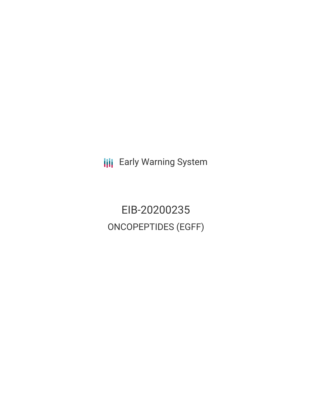**III** Early Warning System

EIB-20200235 ONCOPEPTIDES (EGFF)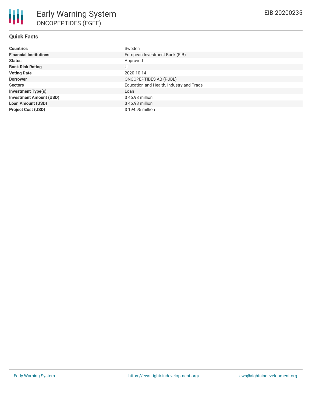# **Quick Facts**

| <b>Countries</b>               | Sweden                                   |
|--------------------------------|------------------------------------------|
| <b>Financial Institutions</b>  | European Investment Bank (EIB)           |
| <b>Status</b>                  | Approved                                 |
| <b>Bank Risk Rating</b>        | U                                        |
| <b>Voting Date</b>             | 2020-10-14                               |
| <b>Borrower</b>                | ONCOPEPTIDES AB (PUBL)                   |
| <b>Sectors</b>                 | Education and Health, Industry and Trade |
| <b>Investment Type(s)</b>      | Loan                                     |
| <b>Investment Amount (USD)</b> | $$46.98$ million                         |
| <b>Loan Amount (USD)</b>       | $$46.98$ million                         |
| <b>Project Cost (USD)</b>      | \$194.95 million                         |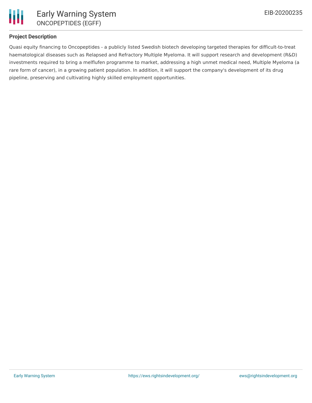

## **Project Description**

Quasi equity financing to Oncopeptides - a publicly listed Swedish biotech developing targeted therapies for difficult-to-treat haematological diseases such as Relapsed and Refractory Multiple Myeloma. It will support research and development (R&D) investments required to bring a melflufen programme to market, addressing a high unmet medical need, Multiple Myeloma (a rare form of cancer), in a growing patient population. In addition, it will support the company's development of its drug pipeline, preserving and cultivating highly skilled employment opportunities.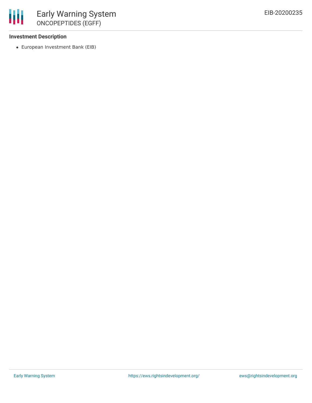## **Investment Description**

冊

European Investment Bank (EIB)